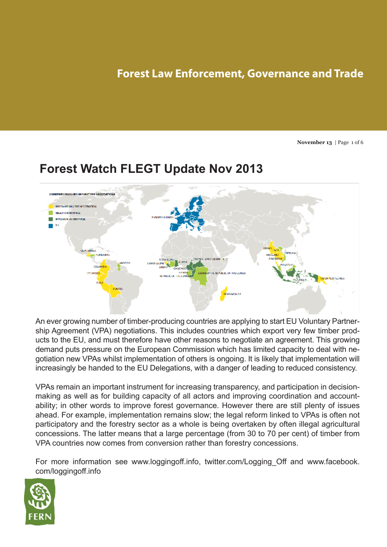# **Forest Law Enforcement, Governance and Trade**

**November 13** | Page 1 of 6

# **Forest Watch FLEGT Update Nov 2013**



An ever growing number of timber-producing countries are applying to start EU Voluntary Partnership Agreement (VPA) negotiations. This includes countries which export very few timber products to the EU, and must therefore have other reasons to negotiate an agreement. This growing demand puts pressure on the European Commission which has limited capacity to deal with negotiation new VPAs whilst implementation of others is ongoing. It is likely that implementation will increasingly be handed to the EU Delegations, with a danger of leading to reduced consistency.

VPAs remain an important instrument for increasing transparency, and participation in decisionmaking as well as for building capacity of all actors and improving coordination and accountability; in other words to improve forest governance. However there are still plenty of issues ahead. For example, implementation remains slow; the legal reform linked to VPAs is often not participatory and the forestry sector as a whole is being overtaken by often illegal agricultural concessions. The latter means that a large percentage (from 30 to 70 per cent) of timber from VPA countries now comes from conversion rather than forestry concessions.

For more information see www.loggingoff.info, twitter.com/Logging Off and www.facebook. com/loggingoff.info

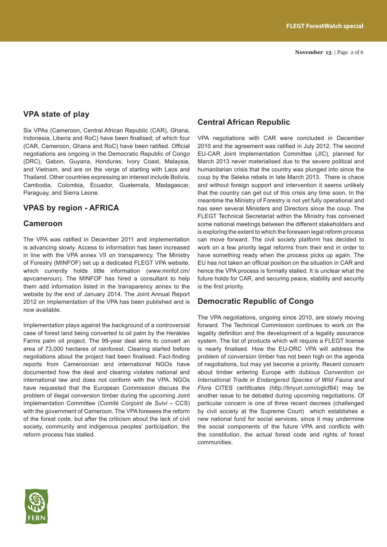# **VPA state of play**

Six VPAs (Cameroon, Central African Republic (CAR), Ghana, Indonesia, Liberia and RoC) have been finalised; of which four (CAR, Cameroon, Ghana and RoC) have been ratified. Official negotiations are ongoing in the Democratic Republic of Congo (DRC), Gabon, Guyana, Honduras, Ivory Coast, Malaysia, and Vietnam, and are on the verge of starting with Laos and Thailand. Other countries expressing an interest include Bolivia, Cambodia, Colombia, Ecuador, Guatemala, Madagascar, Paraguay, and Sierra Leone.

### **VPAS by region - AFRICA**

#### **Cameroon**

The VPA was ratified in December 2011 and implementation is advancing slowly. Access to information has been increased in line with the VPA annex VII on transparency. The Ministry of Forestry (MINFOF) set up a dedicated FLEGT VPA website, which currently holds little information (www.minfof.cm/ apvcameroun). The MINFOF has hired a consultant to help them add information listed in the transparency annex to the website by the end of January 2014. The Joint Annual Report 2012 on implementation of the VPA has been published and is now available.

Implementation plays against the background of a controversial case of forest land being converted to oil palm by the Herakles Farms palm oil project. The 99-year deal aims to convert an area of 73,000 hectares of rainforest. Clearing started before negotiations about the project had been finalised. Fact-finding reports from Cameroonian and international NGOs have documented how the deal and clearing violates national and international law and does not conform with the VPA. NGOs have requested that the European Commission discuss the problem of illegal conversion timber during the upcoming Joint Implementation Committee (*Comité Conjoint de Suivi* – CCS) with the government of Cameroon. The VPA foresees the reform of the forest code, but after the criticism about the lack of civil society, community and indigenous peoples' participation, the reform process has stalled.

# **Central African Republic**

VPA negotiations with CAR were concluded in December 2010 and the agreement was ratified in July 2012. The second EU-CAR Joint Implementation Committee (JIC), planned for March 2013 never materialised due to the severe political and humanitarian crisis that the country was plunged into since the coup by the Seleka rebels in late March 2013. There is chaos and without foreign support and intervention it seems unlikely that the country can get out of this crisis any time soon. In the meantime the Ministry of Forestry is not yet fully operational and has seen several Ministers and Directors since the coup. The FLEGT Technical Secretariat within the Ministry has convened some national meetings between the different stakeholders and is exploring the extent to which the foreseen legal reform process can move forward. The civil society platform has decided to work on a few priority legal reforms from their end in order to have something ready when the process picks up again. The EU has not taken an official position on the situation in CAR and hence the VPA process is formally stalled. It is unclear what the future holds for CAR, and securing peace, stability and security is the first priority.

# **Democratic Republic of Congo**

The VPA negotiations, ongoing since 2010, are slowly moving forward. The Technical Commission continues to work on the legality definition and the development of a legality assurance system. The list of products which will require a FLEGT license is nearly finalised. How the EU-DRC VPA will address the problem of conversion timber has not been high on the agenda of negotiations, but may yet become a priority. Recent concern about timber entering Europe with dubious *Convention on International Trade in Endangered Species of Wild Fauna and Flora* CITES certificates (http://tinyurl.com/oglcf84) may be another issue to be debated during upcoming negotiations. Of particular concern is one of three recent decrees (challenged by civil society at the Supreme Court) which establishes a new national fund for social services, since it may undermine the social components of the future VPA and conflicts with the constitution, the actual forest code and rights of forest communities.

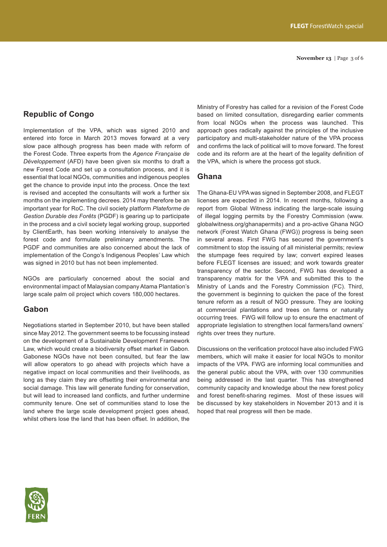### **Republic of Congo**

Implementation of the VPA, which was signed 2010 and entered into force in March 2013 moves forward at a very slow pace although progress has been made with reform of the Forest Code. Three experts from the *Agence Française de Développement* (AFD) have been given six months to draft a new Forest Code and set up a consultation process, and it is essential that local NGOs, communities and indigenous peoples get the chance to provide input into the process. Once the text is revised and accepted the consultants will work a further six months on the implementing decrees. 2014 may therefore be an important year for RoC. The civil society platform *Plateforme de Gestion Durable des Forêts* (PGDF) is gearing up to participate in the process and a civil society legal working group, supported by ClientEarth, has been working intensively to analyse the forest code and formulate preliminary amendments. The PGDF and communities are also concerned about the lack of implementation of the Congo's Indigenous Peoples' Law which was signed in 2010 but has not been implemented.

NGOs are particularly concerned about the social and environmental impact of Malaysian company Atama Plantation's large scale palm oil project which covers 180,000 hectares.

# **Gabon**

Negotiations started in September 2010, but have been stalled since May 2012. The government seems to be focussing instead on the development of a Sustainable Development Framework Law, which would create a biodiversity offset market in Gabon. Gabonese NGOs have not been consulted, but fear the law will allow operators to go ahead with projects which have a negative impact on local communities and their livelihoods, as long as they claim they are offsetting their environmental and social damage. This law will generate funding for conservation, but will lead to increased land conflicts, and further undermine community tenure. One set of communities stand to lose the land where the large scale development project goes ahead, whilst others lose the land that has been offset. In addition, the

Ministry of Forestry has called for a revision of the Forest Code based on limited consultation, disregarding earlier comments from local NGOs when the process was launched. This approach goes radically against the principles of the inclusive participatory and multi-stakeholder nature of the VPA process and confirms the lack of political will to move forward. The forest code and its reform are at the heart of the legality definition of the VPA, which is where the process got stuck.

#### **Ghana**

The Ghana-EU VPA was signed in September 2008, and FLEGT licenses are expected in 2014. In recent months, following a report from Global Witness indicating the large-scale issuing of illegal logging permits by the Forestry Commission (www. globalwitness.org/ghanapermits) and a pro-active Ghana NGO network (Forest Watch Ghana (FWG)) progress is being seen in several areas. First FWG has secured the government's commitment to stop the issuing of all ministerial permits; review the stumpage fees required by law; convert expired leases before FLEGT licenses are issued; and work towards greater transparency of the sector. Second, FWG has developed a transparency matrix for the VPA and submitted this to the Ministry of Lands and the Forestry Commission (FC). Third, the government is beginning to quicken the pace of the forest tenure reform as a result of NGO pressure. They are looking at commercial plantations and trees on farms or naturally occurring trees. FWG will follow up to ensure the enactment of appropriate legislation to strengthen local farmers/land owners' rights over trees they nurture.

Discussions on the verification protocol have also included FWG members, which will make it easier for local NGOs to monitor impacts of the VPA. FWG are informing local communities and the general public about the VPA, with over 130 communities being addressed in the last quarter. This has strengthened community capacity and knowledge about the new forest policy and forest benefit-sharing regimes. Most of these issues will be discussed by key stakeholders in November 2013 and it is hoped that real progress will then be made.

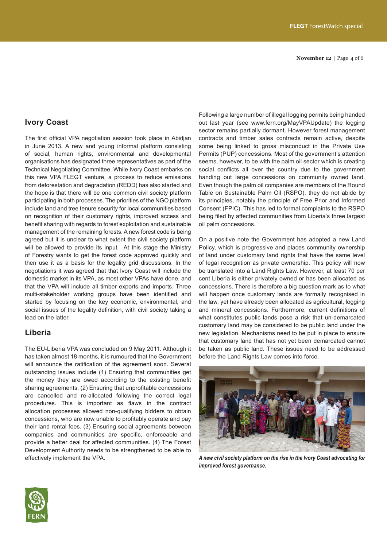**November 12** | Page 4 of 6

# **Ivory Coast**

The first official VPA negotiation session took place in Abidjan in June 2013. A new and young informal platform consisting of social, human rights, environmental and developmental organisations has designated three representatives as part of the Technical Negotiating Committee. While Ivory Coast embarks on this new VPA FLEGT venture, a process to reduce emissions from deforestation and degradation (REDD) has also started and the hope is that there will be one common civil society platform participating in both processes. The priorities of the NGO platform include land and tree tenure security for local communities based on recognition of their customary rights, improved access and benefit sharing with regards to forest exploitation and sustainable management of the remaining forests. A new forest code is being agreed but it is unclear to what extent the civil society platform will be allowed to provide its input. At this stage the Ministry of Forestry wants to get the forest code approved quickly and then use it as a basis for the legality grid discussions. In the negotiations it was agreed that that Ivory Coast will include the domestic market in its VPA, as most other VPAs have done, and that the VPA will include all timber exports and imports. Three multi-stakeholder working groups have been identified and started by focusing on the key economic, environmental, and social issues of the legality definition, with civil society taking a lead on the latter.

# **Liberia**

The EU-Liberia VPA was concluded on 9 May 2011. Although it has taken almost 18 months, it is rumoured that the Government will announce the ratification of the agreement soon. Several outstanding issues include (1) Ensuring that communities get the money they are owed according to the existing benefit sharing agreements. (2) Ensuring that unprofitable concessions are cancelled and re-allocated following the correct legal procedures. This is important as flaws in the contract allocation processes allowed non-qualifying bidders to obtain concessions, who are now unable to profitably operate and pay their land rental fees. (3) Ensuring social agreements between companies and communities are specific, enforceable and provide a better deal for affected communities. (4) The Forest Development Authority needs to be strengthened to be able to effectively implement the VPA.

Following a large number of illegal logging permits being handed out last year (see www.fern.org/MayVPAUpdate) the logging sector remains partially dormant. However forest management contracts and timber sales contracts remain active, despite some being linked to gross misconduct in the Private Use Permits (PUP) concessions. Most of the government's attention seems, however, to be with the palm oil sector which is creating social conflicts all over the country due to the government handing out large concessions on community owned land. Even though the palm oil companies are members of the Round Table on Sustainable Palm Oil (RSPO), they do not abide by its principles, notably the principle of Free Prior and Informed Consent (FPIC). This has led to formal complaints to the RSPO being filed by affected communities from Liberia's three largest oil palm concessions.

On a positive note the Government has adopted a new Land Policy, which is progressive and places community ownership of land under customary land rights that have the same level of legal recognition as private ownership. This policy will now be translated into a Land Rights Law. However, at least 70 per cent Liberia is either privately owned or has been allocated as concessions. There is therefore a big question mark as to what will happen once customary lands are formally recognised in the law, yet have already been allocated as agricultural, logging and mineral concessions. Furthermore, current definitions of what constitutes public lands pose a risk that un-demarcated customary land may be considered to be public land under the new legislation. Mechanisms need to be put in place to ensure that customary land that has not yet been demarcated cannot be taken as public land. These issues need to be addressed before the Land Rights Law comes into force.



*A new civil society platform on the rise in the Ivory Coast advocating for improved forest governance.*

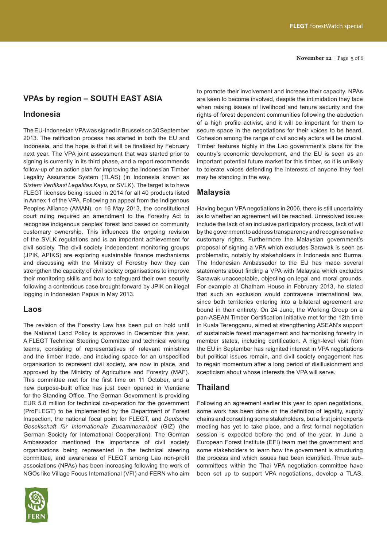**November 12** | Page 5 of 6

### **VPAs by region – SOUTH EAST ASIA**

#### **Indonesia**

The EU-Indonesian VPA was signed in Brussels on 30 September 2013. The ratification process has started in both the EU and Indonesia, and the hope is that it will be finalised by February next year. The VPA joint assessment that was started prior to signing is currently in its third phase, and a report recommends follow-up of an action plan for improving the Indonesian Timber Legality Assurance System (TLAS) (in Indonesia known as *Sistem Verifikasi Legalitas Kayu*, or SVLK). The target is to have FLEGT licenses being issued in 2014 for all 40 products listed in Annex 1 of the VPA. Following an appeal from the Indigenous Peoples Alliance (AMAN), on 16 May 2013, the constitutional court ruling required an amendment to the Forestry Act to recognise indigenous peoples' forest land based on community customary ownership. This influences the ongoing revision of the SVLK regulations and is an important achievement for civil society. The civil society independent monitoring groups (JPIK, APIKS) are exploring sustainable finance mechanisms and discussing with the Ministry of Forestry how they can strengthen the capacity of civil society organisations to improve their monitoring skills and how to safeguard their own security following a contentious case brought forward by JPIK on illegal logging in Indonesian Papua in May 2013.

#### **Laos**

The revision of the Forestry Law has been put on hold until the National Land Policy is approved in December this year. A FLEGT Technical Steering Committee and technical working teams, consisting of representatives of relevant ministries and the timber trade, and including space for an unspecified organisation to represent civil society, are now in place, and approved by the Ministry of Agriculture and Forestry (MAF). This committee met for the first time on 11 October, and a new purpose-built office has just been opened in Vientiane for the Standing Office. The German Government is providing EUR 5.8 million for technical co-operation for the government (ProFLEGT) to be implemented by the Department of Forest Inspection, the national focal point for FLEGT, and *Deutsche Gesellschaft für Internationale Zusammenarbeit* (GIZ) (the German Society for International Cooperation). The German Ambassador mentioned the importance of civil society organisations being represented in the technical steering committee, and awareness of FLEGT among Lao non-profit associations (NPAs) has been increasing following the work of NGOs like Village Focus International (VFI) and FERN who aim



to promote their involvement and increase their capacity. NPAs are keen to become involved, despite the intimidation they face when raising issues of livelihood and tenure security and the rights of forest dependent communities following the abduction of a high profile activist, and it will be important for them to secure space in the negotiations for their voices to be heard. Cohesion among the range of civil society actors will be crucial. Timber features highly in the Lao government's plans for the country's economic development, and the EU is seen as an important potential future market for this timber, so it is unlikely to tolerate voices defending the interests of anyone they feel may be standing in the way.

### **Malaysia**

The Indonesian Ambassador to the EU has made several Having begun VPA negotiations in 2006, there is still uncertainty as to whether an agreement will be reached. Unresolved issues include the lack of an inclusive participatory process, lack of will by the government to address transparency and recognise native customary rights. Furthermore the Malaysian government's proposal of signing a VPA which excludes Sarawak is seen as problematic, notably by stakeholders in Indonesia and Burma. statements about finding a VPA with Malaysia which excludes Sarawak unacceptable, objecting on legal and moral grounds. For example at Chatham House in February 2013, he stated that such an exclusion would contravene international law, since both territories entering into a bilateral agreement are bound in their entirety. On 24 June, the Working Group on a pan-ASEAN Timber Certification Initiative met for the 12th time in Kuala Terengganu, aimed at strengthening ASEAN's support of sustainable forest management and harmonising forestry in member states, including certification. A high-level visit from the EU in September has reignited interest in VPA negotiations but political issues remain, and civil society engagement has to regain momentum after a long period of disillusionment and scepticism about whose interests the VPA will serve.

### **Thailand**

Following an agreement earlier this year to open negotiations, some work has been done on the definition of legality, supply chains and consulting some stakeholders, but a first joint experts meeting has yet to take place, and a first formal negotiation session is expected before the end of the year. In June a European Forest Institute (EFI) team met the government and some stakeholders to learn how the government is structuring the process and which issues had been identified. Three subcommittees within the Thai VPA negotiation committee have been set up to support VPA negotiations, develop a TLAS,